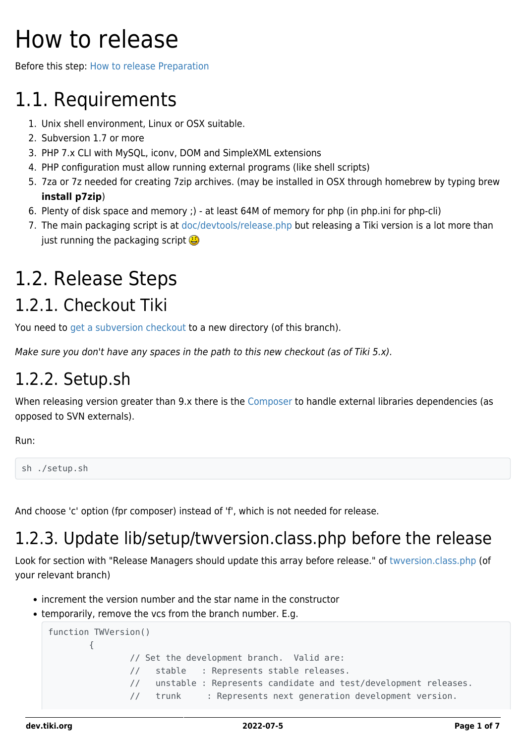# How to release

Before this step: [How to release Preparation](https://dev.tiki.org/How-to-release-Preparation)

# 1.1. Requirements

- 1. Unix shell environment, Linux or OSX suitable.
- 2. Subversion 1.7 or more
- 3. PHP 7.x CLI with MySQL, iconv, DOM and SimpleXML extensions
- 4. PHP configuration must allow running external programs (like shell scripts)
- 5. 7za or 7z needed for creating 7zip archives. (may be installed in OSX through homebrew by typing brew **install p7zip**)
- 6. Plenty of disk space and memory ;) at least 64M of memory for php (in php.ini for php-cli)
- 7. The main packaging script is at [doc/devtools/release.php](https://sourceforge.net/p/tikiwiki/code/HEAD/tree/trunk/doc/devtools/release.php) but releasing a Tiki version is a lot more than just running the packaging script  $\mathbf{G}$

# 1.2. Release Steps

# 1.2.1. Checkout Tiki

You need to [get a subversion checkout](https://dev.tiki.org/Get-code) to a new directory (of this branch).

Make sure you don't have any spaces in the path to this new checkout (as of Tiki 5.x).

## 1.2.2. Setup.sh

When releasing version greater than 9.x there is the [Composer](https://dev.tiki.org/Composer) to handle external libraries dependencies (as opposed to SVN externals).

Run:

```
sh ./setup.sh
```
And choose 'c' option (fpr composer) instead of 'f', which is not needed for release.

# 1.2.3. Update lib/setup/twversion.class.php before the release

Look for section with "Release Managers should update this array before release." of [twversion.class.php](https://sourceforge.net/p/tikiwiki/code/HEAD/tree/trunk/lib/setup/twversion.class.php) (of your relevant branch)

- increment the version number and the star name in the constructor
- temporarily, remove the vcs from the branch number. E.g.

```
function TWVersion()
        {
                // Set the development branch. Valid are:
                // stable : Represents stable releases.
                // unstable : Represents candidate and test/development releases.
                // trunk : Represents next generation development version.
```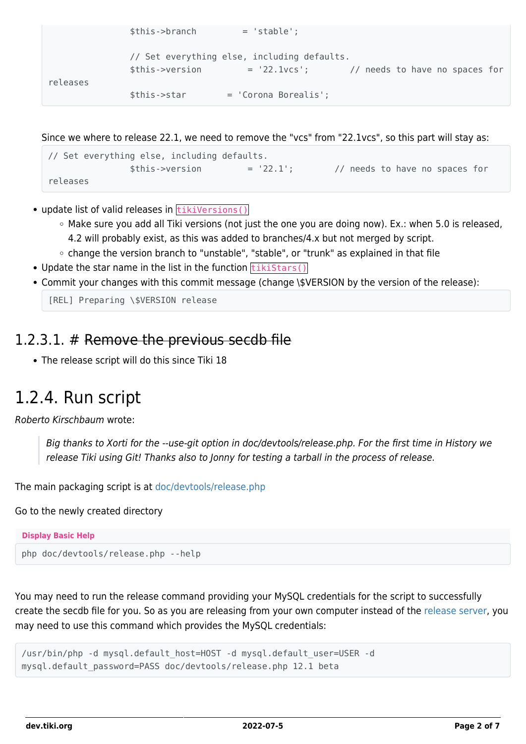```
 $this->branch = 'stable';
               // Set everything else, including defaults.
               $this->version = '22.1vcs'; // needs to have no spaces for
releases
               $this->star = 'Corona Borealis';
```
Since we where to release 22.1, we need to remove the "vcs" from "22.1vcs", so this part will stay as:

```
// Set everything else, including defaults.
             $this - 1 = '22.1'; // needs to have no spaces for
releases
```
- $\bullet$  update list of valid releases in  $\tt\text{tikiversions}()$ 
	- Make sure you add all Tiki versions (not just the one you are doing now). Ex.: when 5.0 is released, 4.2 will probably exist, as this was added to branches/4.x but not merged by script.
	- change the version branch to "unstable", "stable", or "trunk" as explained in that file
- Update the star name in the list in the function  $\frac{t}{t}$  that  $s(t)$
- Commit your changes with this commit message (change \\$VERSION by the version of the release):

[REL] Preparing \\$VERSION release

#### 1.2.3.1. # Remove the previous secdb file

The release script will do this since Tiki 18

### 1.2.4. Run script

Roberto Kirschbaum wrote:

Big thanks to Xorti for the --use-git option in doc/devtools/release.php. For the first time in History we release Tiki using Git! Thanks also to Jonny for testing a tarball in the process of release.

The main packaging script is at [doc/devtools/release.php](https://sourceforge.net/p/tikiwiki/code/HEAD/tree/trunk/doc/devtools/release.php)

Go to the newly created directory

```
Display Basic Help
php doc/devtools/release.php --help
```
You may need to run the release command providing your MySQL credentials for the script to successfully create the secdb file for you. So as you are releasing from your own computer instead of the [release server](https://dev.tiki.org/How-to-Use-the-Release-Server), you may need to use this command which provides the MySQL credentials:

```
/usr/bin/php -d mysql.default_host=HOST -d mysql.default_user=USER -d
mysql.default password=PASS doc/devtools/release.php 12.1 beta
```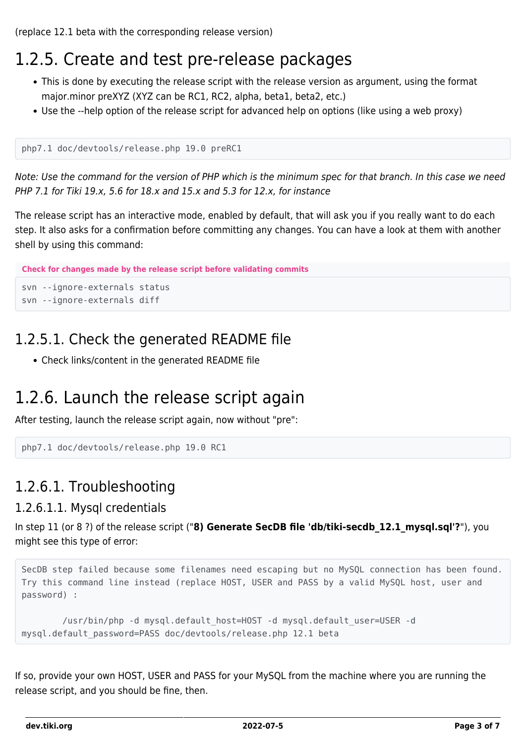(replace 12.1 beta with the corresponding release version)

## 1.2.5. Create and test pre-release packages

- This is done by executing the release script with the release version as argument, using the format major.minor preXYZ (XYZ can be RC1, RC2, alpha, beta1, beta2, etc.)
- Use the --help option of the release script for advanced help on options (like using a web proxy)

```
php7.1 doc/devtools/release.php 19.0 preRC1
```
Note: Use the command for the version of PHP which is the minimum spec for that branch. In this case we need PHP 7.1 for Tiki 19.x, 5.6 for 18.x and 15.x and 5.3 for 12.x, for instance

The release script has an interactive mode, enabled by default, that will ask you if you really want to do each step. It also asks for a confirmation before committing any changes. You can have a look at them with another shell by using this command:

```
Check for changes made by the release script before validating commits
```
svn --ignore-externals status svn --ignore-externals diff

#### 1.2.5.1. Check the generated README file

Check links/content in the generated README file

#### 1.2.6. Launch the release script again

After testing, launch the release script again, now without "pre":

```
php7.1 doc/devtools/release.php 19.0 RC1
```
#### 1.2.6.1. Troubleshooting

#### 1.2.6.1.1. Mysql credentials

In step 11 (or 8 ?) of the release script ("**8) Generate SecDB file 'db/tiki-secdb\_12.1\_mysql.sql'?**"), you might see this type of error:

```
SecDB step failed because some filenames need escaping but no MySQL connection has been found.
Try this command line instead (replace HOST, USER and PASS by a valid MySQL host, user and
password) :
```

```
 /usr/bin/php -d mysql.default_host=HOST -d mysql.default_user=USER -d
mysql.default_password=PASS doc/devtools/release.php 12.1 beta
```
If so, provide your own HOST, USER and PASS for your MySQL from the machine where you are running the release script, and you should be fine, then.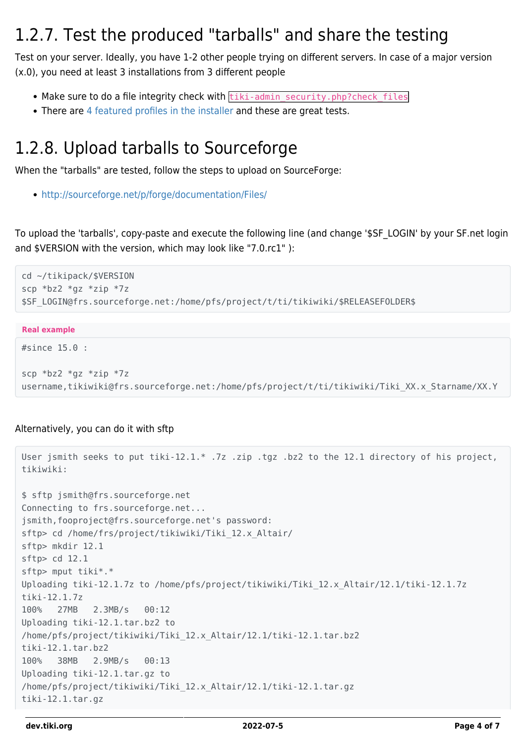### 1.2.7. Test the produced "tarballs" and share the testing

Test on your server. Ideally, you have 1-2 other people trying on different servers. In case of a major version (x.0), you need at least 3 installations from 3 different people

- Make sure to do a file integrity check with tiki-admin security.php?check files
- There are [4 featured profiles in the installer](http://profiles.tiki.org/Profiles_in_installer%20) and these are great tests.

## 1.2.8. Upload tarballs to Sourceforge

When the "tarballs" are tested, follow the steps to upload on SourceForge:

<http://sourceforge.net/p/forge/documentation/Files/>

To upload the 'tarballs', copy-paste and execute the following line (and change '\$SF\_LOGIN' by your SF.net login and \$VERSION with the version, which may look like "7.0.rc1" ):

```
cd ~/tikipack/$VERSION
scp *bz2 *gz *zip *7z
$SF_LOGIN@frs.sourceforge.net:/home/pfs/project/t/ti/tikiwiki/$RELEASEFOLDER$
```
#### **Real example**

```
#since 15.0 :
```

```
scp *bz2 *gz *zip *7z
username,tikiwiki@frs.sourceforge.net:/home/pfs/project/t/ti/tikiwiki/Tiki_XX.x_Starname/XX.Y
```
#### Alternatively, you can do it with sftp

```
User jsmith seeks to put tiki-12.1.* .7z .zip .tgz .bz2 to the 12.1 directory of his project,
tikiwiki:
$ sftp jsmith@frs.sourceforge.net
Connecting to frs.sourceforge.net...
jsmith,fooproject@frs.sourceforge.net's password:
sftp> cd /home/frs/project/tikiwiki/Tiki_12.x_Altair/
sftp> mkdir 12.1
sftp> cd 12.1
sftp> mput tiki*.*
Uploading tiki-12.1.7z to /home/pfs/project/tikiwiki/Tiki_12.x_Altair/12.1/tiki-12.1.7z
tiki-12.1.7z
100% 27MB 2.3MB/s 00:12
Uploading tiki-12.1.tar.bz2 to
/home/pfs/project/tikiwiki/Tiki_12.x_Altair/12.1/tiki-12.1.tar.bz2
tiki-12.1.tar.bz2
100% 38MB 2.9MB/s 00:13
Uploading tiki-12.1.tar.gz to
/home/pfs/project/tikiwiki/Tiki_12.x_Altair/12.1/tiki-12.1.tar.gz
tiki-12.1.tar.gz
```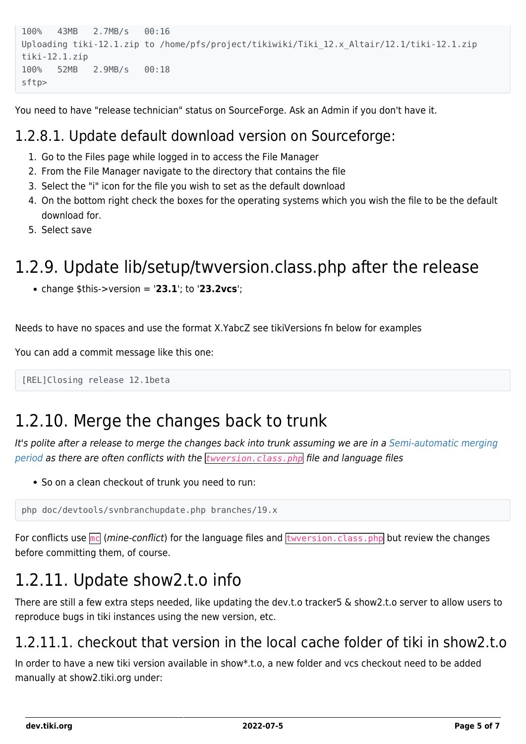```
100% 43MB 2.7MB/s 00:16
Uploading tiki-12.1.zip to /home/pfs/project/tikiwiki/Tiki_12.x_Altair/12.1/tiki-12.1.zip
tiki-12.1.zip
100% 52MB 2.9MB/s 00:18
sftp>
```
You need to have "release technician" status on SourceForge. Ask an Admin if you don't have it.

#### 1.2.8.1. Update default download version on Sourceforge:

- 1. Go to the Files page while logged in to access the File Manager
- 2. From the File Manager navigate to the directory that contains the file
- 3. Select the "i" icon for the file you wish to set as the default download
- 4. On the bottom right check the boxes for the operating systems which you wish the file to be the default download for.
- 5. Select save

# 1.2.9. Update lib/setup/twversion.class.php after the release

change \$this->version = '**23.1**'; to '**23.2vcs**';

Needs to have no spaces and use the format X.YabcZ see tikiVersions fn below for examples

You can add a commit message like this one:

```
[REL]Closing release 12.1beta
```
# 1.2.10. Merge the changes back to trunk

It's polite after a release to merge the changes back into trunk assuming we are in a [Semi-automatic merging](https://dev.tiki.org/Semi-automatic-merging-period) [period](https://dev.tiki.org/Semi-automatic-merging-period) as there are often conflicts with the *twversion.class.php* file and language files

• So on a clean checkout of trunk you need to run:

php doc/devtools/svnbranchupdate.php branches/19.x

For conflicts use  $mc$  (mine-conflict) for the language files and  $tuversion.class.php$  but review the changes before committing them, of course.

# 1.2.11. Update show2.t.o info

There are still a few extra steps needed, like updating the dev.t.o tracker5 & show2.t.o server to allow users to reproduce bugs in tiki instances using the new version, etc.

#### 1.2.11.1. checkout that version in the local cache folder of tiki in show2.t.o

In order to have a new tiki version available in show\*.t.o, a new folder and vcs checkout need to be added manually at show2.tiki.org under: